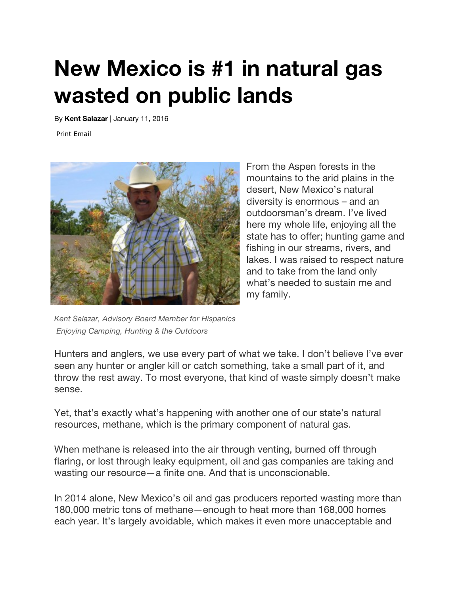## **New Mexico is #1 in natural gas wasted on public lands**

By **Kent Salazar** | January 11, 2016

Print Email



From the Aspen forests in the mountains to the arid plains in the desert, New Mexico's natural diversity is enormous – and an outdoorsman's dream. I've lived here my whole life, enjoying all the state has to offer; hunting game and fishing in our streams, rivers, and lakes. I was raised to respect nature and to take from the land only what's needed to sustain me and my family.

*Kent Salazar, Advisory Board Member for Hispanics Enjoying Camping, Hunting & the Outdoors*

Hunters and anglers, we use every part of what we take. I don't believe I've ever seen any hunter or angler kill or catch something, take a small part of it, and throw the rest away. To most everyone, that kind of waste simply doesn't make sense.

Yet, that's exactly what's happening with another one of our state's natural resources, methane, which is the primary component of natural gas.

When methane is released into the air through venting, burned off through flaring, or lost through leaky equipment, oil and gas companies are taking and wasting our resource—a finite one. And that is unconscionable.

In 2014 alone, New Mexico's oil and gas producers reported wasting more than 180,000 metric tons of methane—enough to heat more than 168,000 homes each year. It's largely avoidable, which makes it even more unacceptable and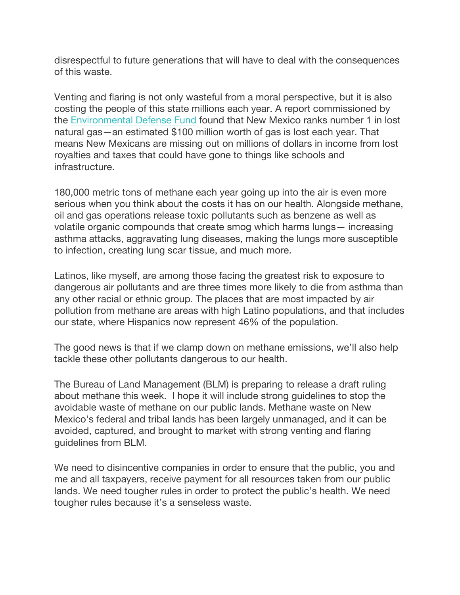disrespectful to future generations that will have to deal with the consequences of this waste.

Venting and flaring is not only wasteful from a moral perspective, but it is also costing the people of this state millions each year. A report commissioned by the Environmental Defense Fund found that New Mexico ranks number 1 in lost natural gas—an estimated \$100 million worth of gas is lost each year. That means New Mexicans are missing out on millions of dollars in income from lost royalties and taxes that could have gone to things like schools and infrastructure.

180,000 metric tons of methane each year going up into the air is even more serious when you think about the costs it has on our health. Alongside methane, oil and gas operations release toxic pollutants such as benzene as well as volatile organic compounds that create smog which harms lungs— increasing asthma attacks, aggravating lung diseases, making the lungs more susceptible to infection, creating lung scar tissue, and much more.

Latinos, like myself, are among those facing the greatest risk to exposure to dangerous air pollutants and are three times more likely to die from asthma than any other racial or ethnic group. The places that are most impacted by air pollution from methane are areas with high Latino populations, and that includes our state, where Hispanics now represent 46% of the population.

The good news is that if we clamp down on methane emissions, we'll also help tackle these other pollutants dangerous to our health.

The Bureau of Land Management (BLM) is preparing to release a draft ruling about methane this week. I hope it will include strong guidelines to stop the avoidable waste of methane on our public lands. Methane waste on New Mexico's federal and tribal lands has been largely unmanaged, and it can be avoided, captured, and brought to market with strong venting and flaring guidelines from BLM.

We need to disincentive companies in order to ensure that the public, you and me and all taxpayers, receive payment for all resources taken from our public lands. We need tougher rules in order to protect the public's health. We need tougher rules because it's a senseless waste.